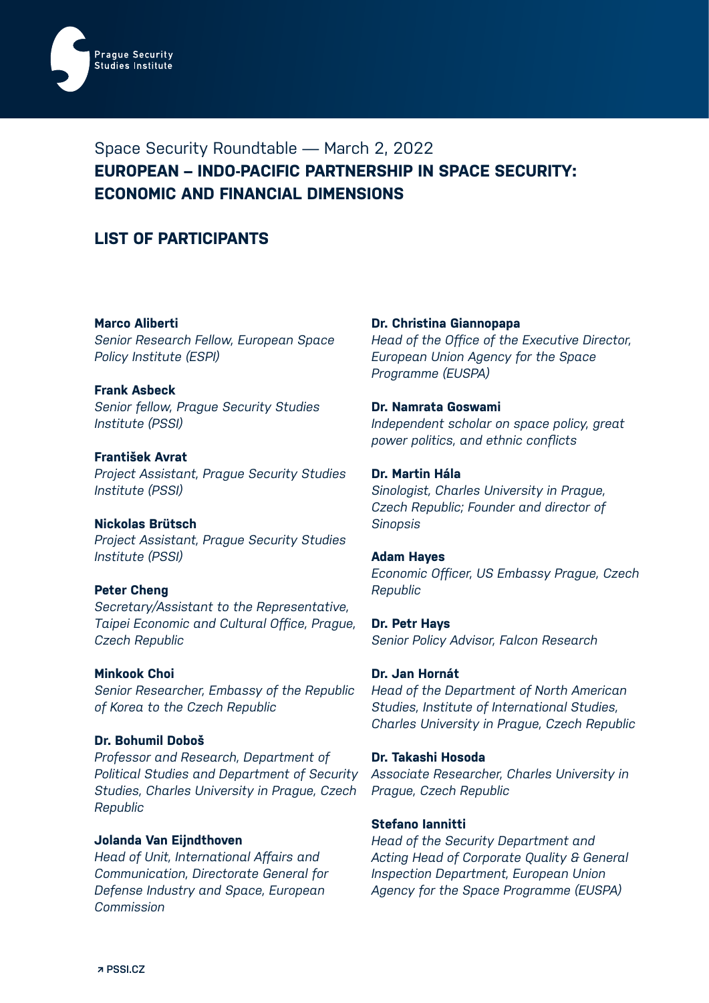

# Space Security Roundtable — March 2, 2022 **EUROPEAN – INDO-PACIFIC PARTNERSHIP IN SPACE SECURITY: ECONOMIC AND FINANCIAL DIMENSIONS**

# **LIST OF PARTICIPANTS**

**Marco Aliberti**

*Senior Research Fellow, European Space Policy Institute (ESPI)*

**Frank Asbeck** *Senior fellow, Prague Security Studies Institute (PSSI)*

**František Avrat**

*Project Assistant, Prague Security Studies Institute (PSSI)*

**Nickolas Brütsch**

*Project Assistant, Prague Security Studies Institute (PSSI)*

#### **Peter Cheng**

*Secretary/Assistant to the Representative, Taipei Economic and Cultural Office, Prague, Czech Republic*

#### **Minkook Choi**

*Senior Researcher, Embassy of the Republic of Korea to the Czech Republic*

# **Dr. Bohumil Doboš**

*Professor and Research, Department of Political Studies and Department of Security Studies, Charles University in Prague, Czech Republic*

### **Jolanda Van Eijndthoven**

*Head of Unit, International Affairs and Communication, Directorate General for Defense Industry and Space, European Commission*

#### **Dr. Christina Giannopapa**

*Head of the Office of the Executive Director, European Union Agency for the Space Programme (EUSPA)*

#### **Dr. Namrata Goswami**

*Independent scholar on space policy, great power politics, and ethnic conflicts*

#### **Dr. Martin Hála**

*Sinologist, Charles University in Prague, Czech Republic; Founder and director of Sinopsis* 

#### **Adam Hayes**

*Economic Officer, US Embassy Prague, Czech Republic*

**Dr. Petr Hays** *Senior Policy Advisor, Falcon Research*

#### **Dr. Jan Hornát**

*Head of the Department of North American Studies, Institute of International Studies, Charles University in Prague, Czech Republic*

#### **Dr. Takashi Hosoda**

*Associate Researcher, Charles University in Prague, Czech Republic*

#### **Stefano Iannitti**

*Head of the Security Department and Acting Head of Corporate Quality & General Inspection Department, European Union Agency for the Space Programme (EUSPA)*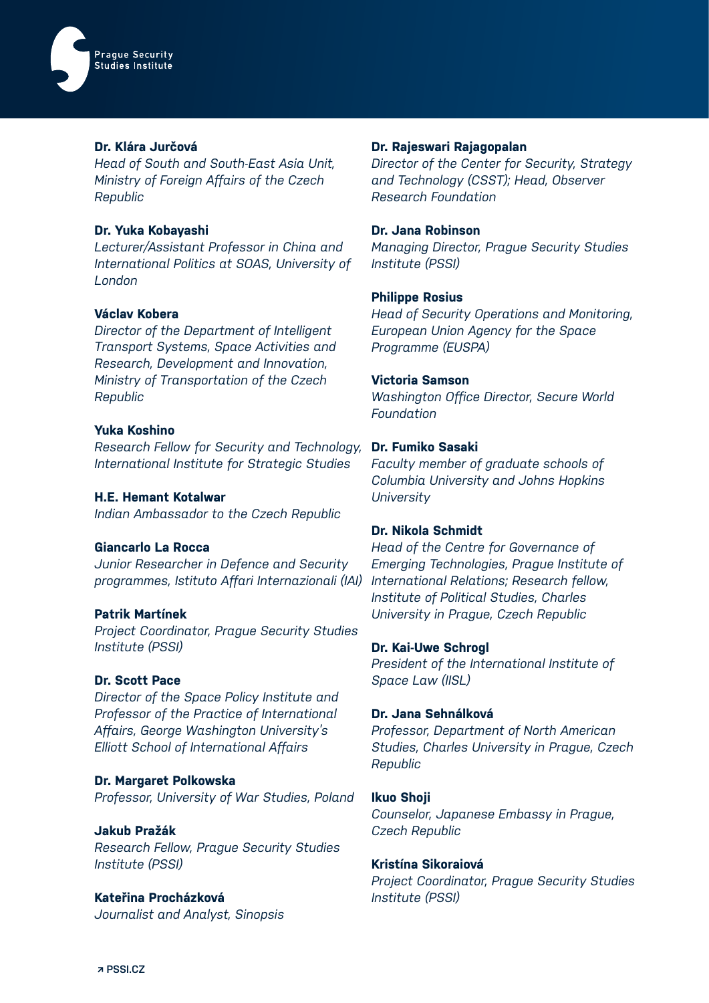

#### **Dr. Klára Jurčová**

*Head of South and South-East Asia Unit, Ministry of Foreign Affairs of the Czech Republic*

### **Dr. Yuka Kobayashi**

*Lecturer/Assistant Professor in China and International Politics at SOAS, University of London*

#### **Václav Kobera**

*Director of the Department of Intelligent Transport Systems, Space Activities and Research, Development and Innovation, Ministry of Transportation of the Czech Republic*

# **Yuka Koshino**

*Research Fellow for Security and Technology, International Institute for Strategic Studies*

#### **H.E. Hemant Kotalwar**

*Indian Ambassador to the Czech Republic*

# **Giancarlo La Rocca**

*Junior Researcher in Defence and Security programmes, Istituto Affari Internazionali (IAI) International Relations; Research fellow,* 

#### **Patrik Martínek**

*Project Coordinator, Prague Security Studies Institute (PSSI)*

#### **Dr. Scott Pace**

*Director of the Space Policy Institute and Professor of the Practice of International Affairs, George Washington University's Elliott School of International Affairs*

# **Dr. Margaret Polkowska** *Professor, University of War Studies, Poland*

**Jakub Pražák** *Research Fellow, Prague Security Studies Institute (PSSI)*

**Kateřina Procházková** *Journalist and Analyst, Sinopsis*

#### **Dr. Rajeswari Rajagopalan**

*Director of the Center for Security, Strategy and Technology (CSST); Head, Observer Research Foundation*

#### **Dr. Jana Robinson**

*Managing Director, Prague Security Studies Institute (PSSI)*

#### **Philippe Rosius**

*Head of Security Operations and Monitoring, European Union Agency for the Space Programme (EUSPA)*

#### **Victoria Samson**

*Washington Office Director, Secure World Foundation*

#### **Dr. Fumiko Sasaki**

*Faculty member of graduate schools of Columbia University and Johns Hopkins University*

# **Dr. Nikola Schmidt**

*Head of the Centre for Governance of Emerging Technologies, Prague Institute of Institute of Political Studies, Charles University in Prague, Czech Republic*

#### **Dr. Kai-Uwe Schrogl**

*President of the International Institute of Space Law (IISL)*

#### **Dr. Jana Sehnálková**

*Professor, Department of North American Studies, Charles University in Prague, Czech Republic*

# **Ikuo Shoji**

*Counselor, Japanese Embassy in Prague, Czech Republic*

#### **Kristína Sikoraiová**

*Project Coordinator, Prague Security Studies Institute (PSSI)*